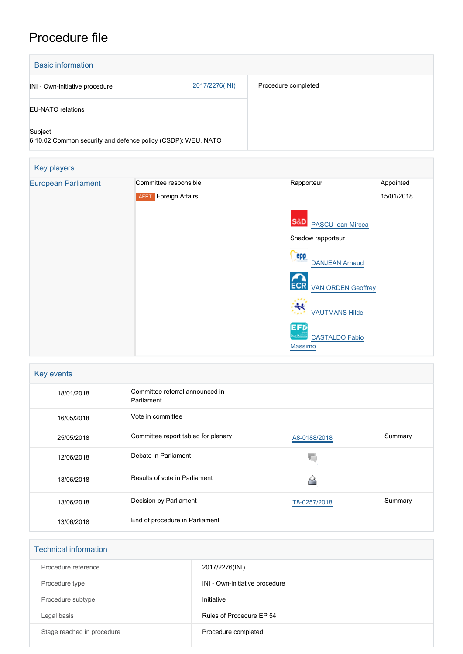## Procedure file

| <b>Basic information</b>       |                                                              |                                            |                         |
|--------------------------------|--------------------------------------------------------------|--------------------------------------------|-------------------------|
| INI - Own-initiative procedure | 2017/2276(INI)                                               | Procedure completed                        |                         |
| <b>EU-NATO relations</b>       |                                                              |                                            |                         |
| Subject                        | 6.10.02 Common security and defence policy (CSDP); WEU, NATO |                                            |                         |
| Key players                    |                                                              |                                            |                         |
| <b>European Parliament</b>     | Committee responsible<br><b>AFET</b> Foreign Affairs         | Rapporteur                                 | Appointed<br>15/01/2018 |
|                                |                                                              | <b>S&amp;D</b><br><b>PAŞCU Ioan Mircea</b> |                         |
|                                | Shadow rapporteur                                            |                                            |                         |
|                                |                                                              | <b>epp</b><br><b>DANJEAN Arnaud</b>        |                         |
|                                |                                                              | <b>VAN ORDEN Geoffrey</b>                  |                         |
|                                |                                                              | <b>VAUTMANS Hilde</b>                      |                         |
|                                |                                                              | EFD<br><b>CASTALDO Fabio</b><br>Massimo    |                         |

| Key events |                                               |              |         |  |  |
|------------|-----------------------------------------------|--------------|---------|--|--|
| 18/01/2018 | Committee referral announced in<br>Parliament |              |         |  |  |
| 16/05/2018 | Vote in committee                             |              |         |  |  |
| 25/05/2018 | Committee report tabled for plenary           | A8-0188/2018 | Summary |  |  |
| 12/06/2018 | Debate in Parliament                          |              |         |  |  |
| 13/06/2018 | Results of vote in Parliament                 |              |         |  |  |
| 13/06/2018 | Decision by Parliament                        | T8-0257/2018 | Summary |  |  |
| 13/06/2018 | End of procedure in Parliament                |              |         |  |  |

## Technical information

| Procedure reference        | 2017/2276(INI)                 |
|----------------------------|--------------------------------|
| Procedure type             | INI - Own-initiative procedure |
| Procedure subtype          | Initiative                     |
| Legal basis                | Rules of Procedure EP 54       |
| Stage reached in procedure | Procedure completed            |
|                            |                                |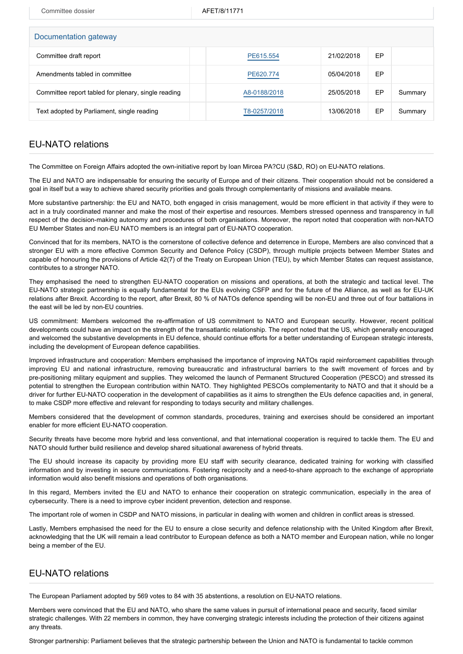Committee dossier AFET/8/11771

| Documentation gateway                               |              |            |    |         |  |  |  |  |
|-----------------------------------------------------|--------------|------------|----|---------|--|--|--|--|
| Committee draft report                              | PE615.554    | 21/02/2018 | EP |         |  |  |  |  |
| Amendments tabled in committee                      | PE620.774    | 05/04/2018 | EP |         |  |  |  |  |
| Committee report tabled for plenary, single reading | A8-0188/2018 | 25/05/2018 | EP | Summary |  |  |  |  |
| Text adopted by Parliament, single reading          | T8-0257/2018 | 13/06/2018 | EP | Summary |  |  |  |  |
|                                                     |              |            |    |         |  |  |  |  |

## EU-NATO relations

The Committee on Foreign Affairs adopted the own-initiative report by Ioan Mircea PA?CU (S&D, RO) on EU-NATO relations.

The EU and NATO are indispensable for ensuring the security of Europe and of their citizens. Their cooperation should not be considered a goal in itself but a way to achieve shared security priorities and goals through complementarity of missions and available means.

More substantive partnership: the EU and NATO, both engaged in crisis management, would be more efficient in that activity if they were to act in a truly coordinated manner and make the most of their expertise and resources. Members stressed openness and transparency in full respect of the decision-making autonomy and procedures of both organisations. Moreover, the report noted that cooperation with non-NATO EU Member States and non-EU NATO members is an integral part of EU-NATO cooperation.

Convinced that for its members, NATO is the cornerstone of collective defence and deterrence in Europe, Members are also convinced that a stronger EU with a more effective Common Security and Defence Policy (CSDP), through multiple projects between Member States and capable of honouring the provisions of Article 42(7) of the Treaty on European Union (TEU), by which Member States can request assistance, contributes to a stronger NATO.

They emphasised the need to strengthen EU-NATO cooperation on missions and operations, at both the strategic and tactical level. The EU-NATO strategic partnership is equally fundamental for the EUs evolving CSFP and for the future of the Alliance, as well as for EU-UK relations after Brexit. According to the report, after Brexit, 80 % of NATOs defence spending will be non-EU and three out of four battalions in the east will be led by non-EU countries.

US commitment: Members welcomed the re-affirmation of US commitment to NATO and European security. However, recent political developments could have an impact on the strength of the transatlantic relationship. The report noted that the US, which generally encouraged and welcomed the substantive developments in EU defence, should continue efforts for a better understanding of European strategic interests, including the development of European defence capabilities.

Improved infrastructure and cooperation: Members emphasised the importance of improving NATOs rapid reinforcement capabilities through improving EU and national infrastructure, removing bureaucratic and infrastructural barriers to the swift movement of forces and by pre-positioning military equipment and supplies. They welcomed the launch of Permanent Structured Cooperation (PESCO) and stressed its potential to strengthen the European contribution within NATO. They highlighted PESCOs complementarity to NATO and that it should be a driver for further EU-NATO cooperation in the development of capabilities as it aims to strengthen the EUs defence capacities and, in general, to make CSDP more effective and relevant for responding to todays security and military challenges.

Members considered that the development of common standards, procedures, training and exercises should be considered an important enabler for more efficient EU-NATO cooperation.

Security threats have become more hybrid and less conventional, and that international cooperation is required to tackle them. The EU and NATO should further build resilience and develop shared situational awareness of hybrid threats.

The EU should increase its capacity by providing more EU staff with security clearance, dedicated training for working with classified information and by investing in secure communications. Fostering reciprocity and a need-to-share approach to the exchange of appropriate information would also benefit missions and operations of both organisations.

In this regard, Members invited the EU and NATO to enhance their cooperation on strategic communication, especially in the area of cybersecurity. There is a need to improve cyber incident prevention, detection and response.

The important role of women in CSDP and NATO missions, in particular in dealing with women and children in conflict areas is stressed.

Lastly, Members emphasised the need for the EU to ensure a close security and defence relationship with the United Kingdom after Brexit, acknowledging that the UK will remain a lead contributor to European defence as both a NATO member and European nation, while no longer being a member of the EU.

## EU-NATO relations

The European Parliament adopted by 569 votes to 84 with 35 abstentions, a resolution on EU-NATO relations.

Members were convinced that the EU and NATO, who share the same values in pursuit of international peace and security, faced similar strategic challenges. With 22 members in common, they have converging strategic interests including the protection of their citizens against any threats.

Stronger partnership: Parliament believes that the strategic partnership between the Union and NATO is fundamental to tackle common